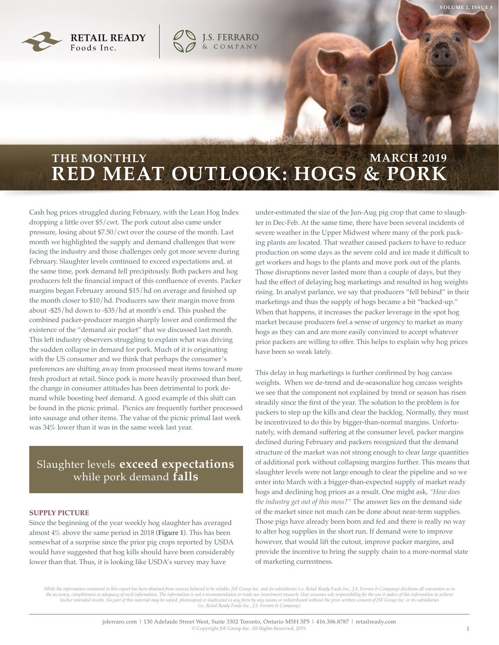

# **RED MEAT OUTLOOK: HOGS & PORK THE MONTHLY MARCH 2019**

Cash hog prices struggled during February, with the Lean Hog Index dropping a little over \$5/cwt. The pork cutout also came under pressure, losing about \$7.50/cwt over the course of the month. Last month we highlighted the supply and demand challenges that were facing the industry and those challenges only got more severe during February. Slaughter levels continued to exceed expectations and, at the same time, pork demand fell precipitously. Both packers and hog producers felt the financial impact of this confluence of events. Packer margins began February around \$15/hd on average and finished up the month closer to \$10/hd. Producers saw their margin move from about -\$25/hd down to -\$35/hd at month's end. This pushed the combined packer-producer margin sharply lower and confirmed the existence of the "demand air pocket" that we discussed last month. This left industry observers struggling to explain what was driving the sudden collapse in demand for pork. Much of it is originating with the US consumer and we think that perhaps the consumer's preferences are shifting away from processed meat items toward more fresh product at retail. Since pork is more heavily processed than beef, the change in consumer attitudes has been detrimental to pork demand while boosting beef demand. A good example of this shift can be found in the picnic primal. Picnics are frequently further processed into sausage and other items. The value of the picnic primal last week was 34% lower than it was in the same week last year.

Slaughter levels **exceed expectations** while pork demand **falls**

#### **SUPPLY PICTURE**

Since the beginning of the year weekly hog slaughter has averaged almost 4% above the same period in 2018 (**Figure 1**). This has been somewhat of a surprise since the prior pig crops reported by USDA would have suggested that hog kills should have been considerably lower than that. Thus, it is looking like USDA's survey may have

under-estimated the size of the Jun-Aug pig crop that came to slaughter in Dec-Feb. At the same time, there have been several incidents of severe weather in the Upper Midwest where many of the pork packing plants are located. That weather caused packers to have to reduce production on some days as the severe cold and ice made it difficult to get workers and hogs to the plants and move pork out of the plants. Those disruptions never lasted more than a couple of days, but they had the effect of delaying hog marketings and resulted in hog weights rising. In analyst parlance, we say that producers "fell behind" in their marketings and thus the supply of hogs became a bit "backed-up." When that happens, it increases the packer leverage in the spot hog market because producers feel a sense of urgency to market as many hogs as they can and are more easily convinced to accept whatever price packers are willing to offer. This helps to explain why hog prices have been so weak lately.

This delay in hog marketings is further confirmed by hog carcass weights. When we de-trend and de-seasonalize hog carcass weights we see that the component not explained by trend or season has risen steadily since the first of the year. The solution to the problem is for packers to step up the kills and clear the backlog. Normally, they must be incentivized to do this by bigger-than-normal margins. Unfortunately, with demand suffering at the consumer level, packer margins declined during February and packers recognized that the demand structure of the market was not strong enough to clear large quantities of additional pork without collapsing margins further. This means that slaughter levels were not large enough to clear the pipeline and so we enter into March with a bigger-than-expected supply of market ready hogs and declining hog prices as a result. One might ask, *"How does the industry get out of this mess?"* The answer lies on the demand side of the market since not much can be done about near-term supplies. Those pigs have already been born and fed and there is really no way to alter hog supplies in the short run. If demand were to improve however, that would lift the cutout, improve packer margins, and provide the incentive to bring the supply chain to a more-normal state of marketing currentness.

While the information contained in this report has been obtained from sources believed to be reliable, JSF Group Inc. and its subsidiaries (i.e. Retail Ready Foods Inc., J.S. Ferraro & Company) disclaims all warranties as the accuracy, completeness or adequacy of such information. The information is not a recommendation to trade nor investment research. User assumes sole responsibility for the use it makes of this information to achieve<br>his *(i.e. Retail Ready Foods Inc., J.S. Ferraro & Company).*

**VOLUME 2, ISSUE 3**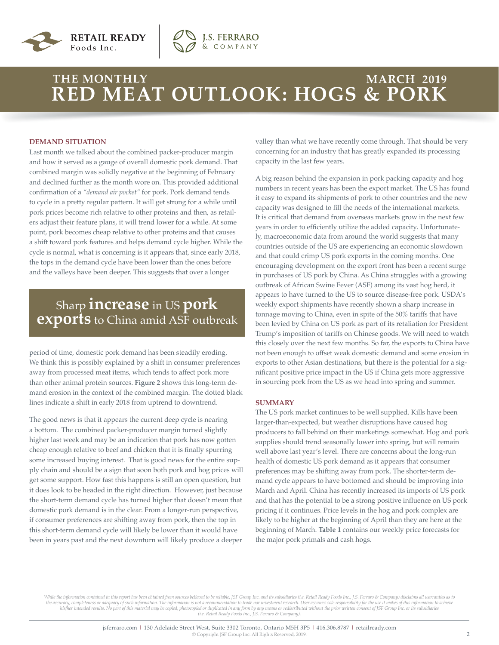

# **RED MEAT OUTLOOK: HOGS & PORK THE MONTHLY EXECUTE AND RESERVE THE MONTHLY**

#### **DEMAND SITUATION**

Last month we talked about the combined packer-producer margin and how it served as a gauge of overall domestic pork demand. That combined margin was solidly negative at the beginning of February and declined further as the month wore on. This provided additional confirmation of a *"demand air pocket"* for pork. Pork demand tends to cycle in a pretty regular pattern. It will get strong for a while until pork prices become rich relative to other proteins and then, as retailers adjust their feature plans, it will trend lower for a while. At some point, pork becomes cheap relative to other proteins and that causes a shift toward pork features and helps demand cycle higher. While the cycle is normal, what is concerning is it appears that, since early 2018, the tops in the demand cycle have been lower than the ones before and the valleys have been deeper. This suggests that over a longer

### Sharp **increase** in US **pork exports** to China amid ASF outbreak

period of time, domestic pork demand has been steadily eroding. We think this is possibly explained by a shift in consumer preferences away from processed meat items, which tends to affect pork more than other animal protein sources. **Figure 2** shows this long-term demand erosion in the context of the combined margin. The dotted black lines indicate a shift in early 2018 from uptrend to downtrend.

The good news is that it appears the current deep cycle is nearing a bottom. The combined packer-producer margin turned slightly higher last week and may be an indication that pork has now gotten cheap enough relative to beef and chicken that it is finally spurring some increased buying interest. That is good news for the entire supply chain and should be a sign that soon both pork and hog prices will get some support. How fast this happens is still an open question, but it does look to be headed in the right direction. However, just because the short-term demand cycle has turned higher that doesn't mean that domestic pork demand is in the clear. From a longer-run perspective, if consumer preferences are shifting away from pork, then the top in this short-term demand cycle will likely be lower than it would have been in years past and the next downturn will likely produce a deeper

valley than what we have recently come through. That should be very concerning for an industry that has greatly expanded its processing capacity in the last few years.

A big reason behind the expansion in pork packing capacity and hog numbers in recent years has been the export market. The US has found it easy to expand its shipments of pork to other countries and the new capacity was designed to fill the needs of the international markets. It is critical that demand from overseas markets grow in the next few years in order to efficiently utilize the added capacity. Unfortunately, macroeconomic data from around the world suggests that many countries outside of the US are experiencing an economic slowdown and that could crimp US pork exports in the coming months. One encouraging development on the export front has been a recent surge in purchases of US pork by China. As China struggles with a growing outbreak of African Swine Fever (ASF) among its vast hog herd, it appears to have turned to the US to source disease-free pork. USDA's weekly export shipments have recently shown a sharp increase in tonnage moving to China, even in spite of the 50% tariffs that have been levied by China on US pork as part of its retaliation for President Trump's imposition of tariffs on Chinese goods. We will need to watch this closely over the next few months. So far, the exports to China have not been enough to offset weak domestic demand and some erosion in exports to other Asian destinations, but there is the potential for a significant positive price impact in the US if China gets more aggressive in sourcing pork from the US as we head into spring and summer.

#### **SUMMARY**

The US pork market continues to be well supplied. Kills have been larger-than-expected, but weather disruptions have caused hog producers to fall behind on their marketings somewhat. Hog and pork supplies should trend seasonally lower into spring, but will remain well above last year's level. There are concerns about the long-run health of domestic US pork demand as it appears that consumer preferences may be shifting away from pork. The shorter-term demand cycle appears to have bottomed and should be improving into March and April. China has recently increased its imports of US pork and that has the potential to be a strong positive influence on US pork pricing if it continues. Price levels in the hog and pork complex are likely to be higher at the beginning of April than they are here at the beginning of March. **Table 1** contains our weekly price forecasts for the major pork primals and cash hogs.

While the information contained in this report has been obtained from sources believed to be reliable, JSF Group Inc. and its subsidiaries (i.e. Retail Ready Foods Inc., J.S. Ferraro & Company) disclaims all warranties as *his/her intended results. No part of this material may be copied, photocopied or duplicated in any form by any means or redistributed without the prior written consent of JSF Group Inc. or its subsidiaries (i.e. Retail Ready Foods Inc., J.S. Ferraro & Company).*